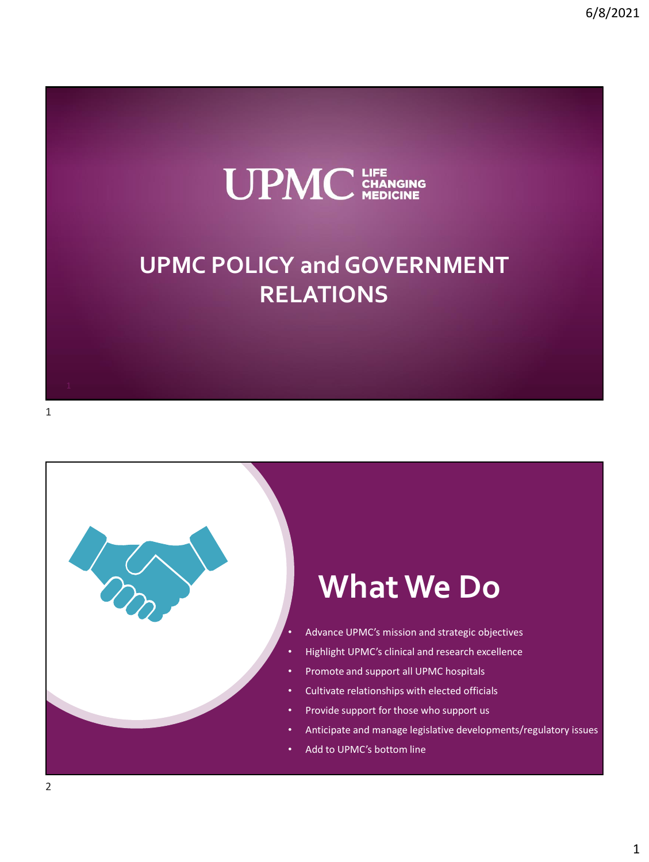

## **UPMC POLICY and GOVERNMENT RELATIONS**

## **What We Do**

- Advance UPMC's mission and strategic objectives
- Highlight UPMC's clinical and research excellence
- Promote and support all UPMC hospitals
- Cultivate relationships with elected officials
- Provide support for those who support us
- Anticipate and manage legislative developments/regulatory issues
- Add to UPMC's bottom line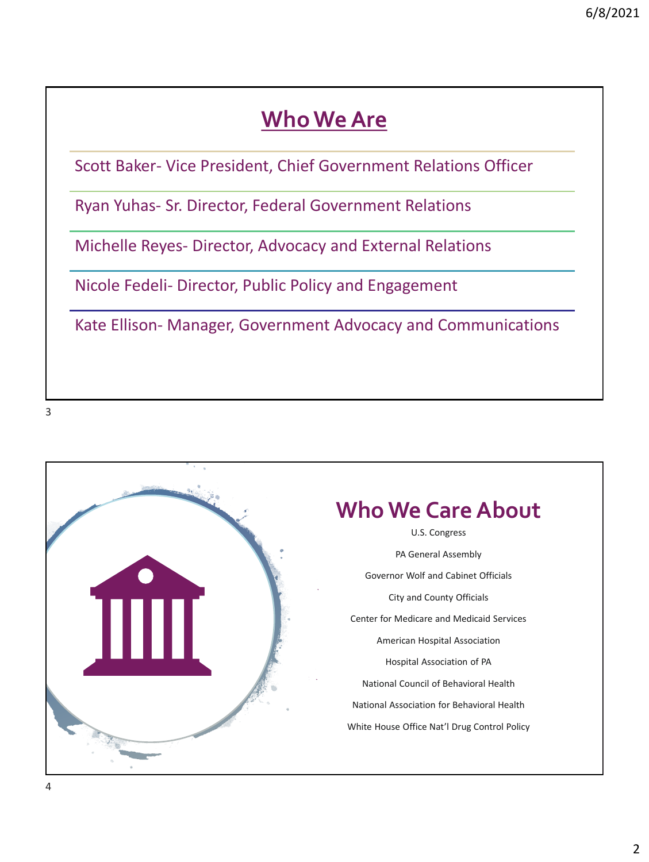## **Who We Are**

Scott Baker- Vice President, Chief Government Relations Officer

Ryan Yuhas- Sr. Director, Federal Government Relations

Michelle Reyes- Director, Advocacy and External Relations

Nicole Fedeli- Director, Public Policy and Engagement

Kate Ellison- Manager, Government Advocacy and Communications

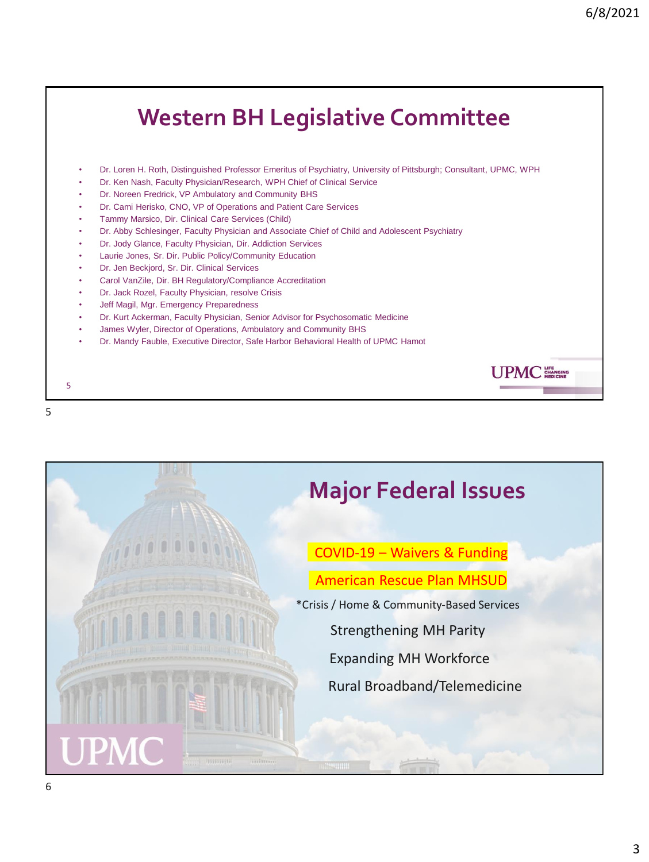## **Western BH Legislative Committee** • Dr. Loren H. Roth, Distinguished Professor Emeritus of Psychiatry, University of Pittsburgh; Consultant, UPMC, WPH • Dr. Ken Nash, Faculty Physician/Research, WPH Chief of Clinical Service • Dr. Noreen Fredrick, VP Ambulatory and Community BHS • Dr. Cami Herisko, CNO, VP of Operations and Patient Care Services • Tammy Marsico, Dir. Clinical Care Services (Child) • Dr. Abby Schlesinger, Faculty Physician and Associate Chief of Child and Adolescent Psychiatry • Dr. Jody Glance, Faculty Physician, Dir. Addiction Services • Laurie Jones, Sr. Dir. Public Policy/Community Education • Dr. Jen Beckjord, Sr. Dir. Clinical Services • Carol VanZile, Dir. BH Regulatory/Compliance Accreditation Dr. Jack Rozel, Faculty Physician, resolve Crisis Jeff Magil, Mgr. Emergency Preparedness • Dr. Kurt Ackerman, Faculty Physician, Senior Advisor for Psychosomatic Medicine • James Wyler, Director of Operations, Ambulatory and Community BHS • Dr. Mandy Fauble, Executive Director, Safe Harbor Behavioral Health of UPMC Hamot UPMC 5



5